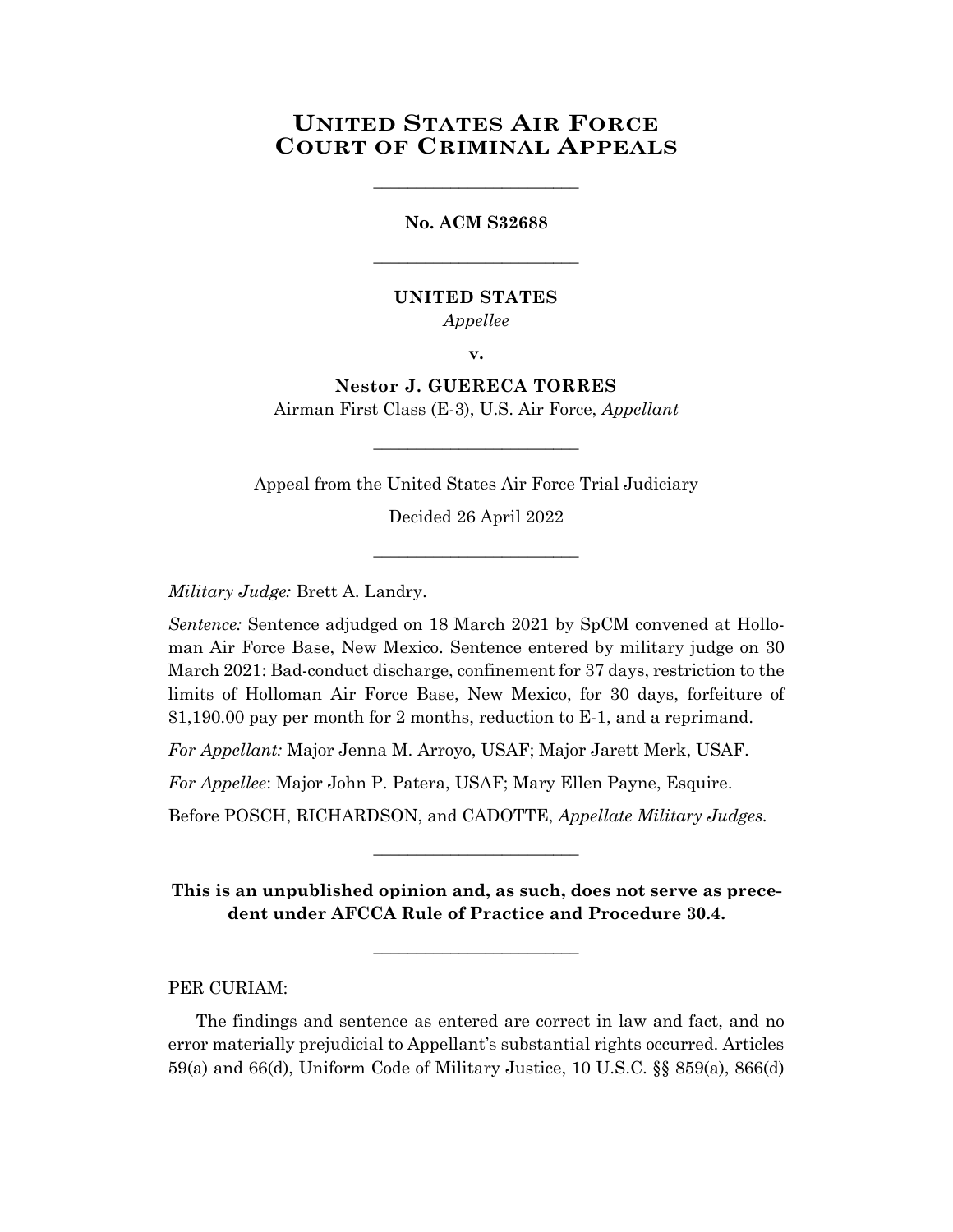## **UNITED STATES AIR FORCE COURT OF CRIMINAL APPEALS**

**No. ACM S32688**

\_\_\_\_\_\_\_\_\_\_\_\_\_\_\_\_\_\_\_\_\_\_\_\_

\_\_\_\_\_\_\_\_\_\_\_\_\_\_\_\_\_\_\_\_\_\_\_\_

## **UNITED STATES**

*Appellee*

**v.**

**Nestor J. GUERECA TORRES** Airman First Class (E-3), U.S. Air Force, *Appellant*

\_\_\_\_\_\_\_\_\_\_\_\_\_\_\_\_\_\_\_\_\_\_\_\_

Appeal from the United States Air Force Trial Judiciary

Decided 26 April 2022

\_\_\_\_\_\_\_\_\_\_\_\_\_\_\_\_\_\_\_\_\_\_\_\_

*Military Judge:* Brett A. Landry.

*Sentence:* Sentence adjudged on 18 March 2021 by SpCM convened at Holloman Air Force Base, New Mexico. Sentence entered by military judge on 30 March 2021: Bad-conduct discharge, confinement for 37 days, restriction to the limits of Holloman Air Force Base, New Mexico, for 30 days, forfeiture of \$1,190.00 pay per month for 2 months, reduction to E-1, and a reprimand.

*For Appellant:* Major Jenna M. Arroyo, USAF; Major Jarett Merk, USAF.

*For Appellee*: Major John P. Patera, USAF; Mary Ellen Payne, Esquire.

Before POSCH, RICHARDSON, and CADOTTE, *Appellate Military Judges.*

**This is an unpublished opinion and, as such, does not serve as precedent under AFCCA Rule of Practice and Procedure 30.4.**

**\_\_\_\_\_\_\_\_\_\_\_\_\_\_\_\_\_\_\_\_\_\_\_\_**

\_\_\_\_\_\_\_\_\_\_\_\_\_\_\_\_\_\_\_\_\_\_\_\_

PER CURIAM:

The findings and sentence as entered are correct in law and fact, and no error materially prejudicial to Appellant's substantial rights occurred. Articles 59(a) and 66(d), Uniform Code of Military Justice, 10 U.S.C. §§ 859(a), 866(d)